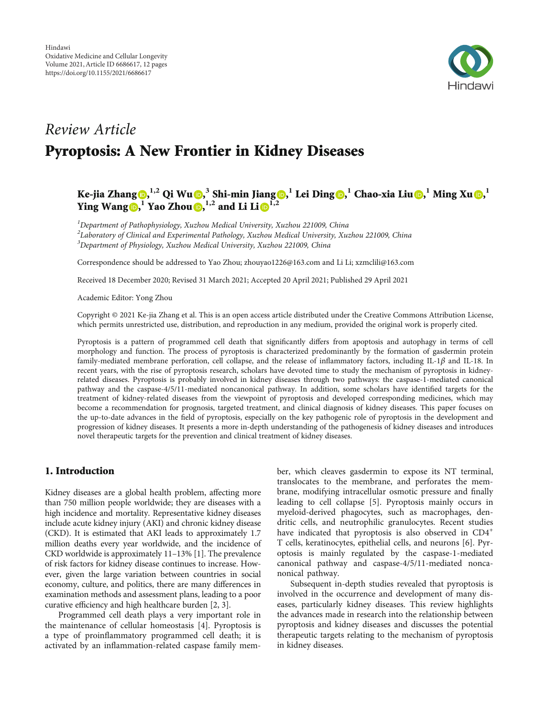

# Review Article Pyroptosis: A New Frontier in Kidney Diseases

# Ke-jia Zhang $\bm{\odot}, ^{1,2}$  $\bm{\odot}, ^{1,2}$  $\bm{\odot}, ^{1,2}$  Qi Wu $\bm{\odot}, ^{3}$  Shi-min Jiang $\bm{\odot}, ^{1}$  Lei Ding $\bm{\odot}, ^{1}$  Chao-xia Liu $\bm{\odot}, ^{1}$  Ming Xu $\bm{\odot}, ^{1}$ **1** Ying Wang  $\bullet$ [,](https://orcid.org/0000-0002-2845-6339)  $\bullet$  Yao Zhou  $\bullet$ ,  $\bullet$ ,  $\bullet$  and Li Li  $\bullet$ <sup>1,2</sup>

<sup>1</sup>Department of Pathophysiology, Xuzhou Medical University, Xuzhou 221009, China  $^{2}$ Laboratory of Clinical and Experimental Pathology, Xuzhou Medical University, Xuzhou 221009, China <sup>3</sup>Department of Physiology, Xuzhou Medical University, Xuzhou 221009, China

Correspondence should be addressed to Yao Zhou; zhouyao1226@163.com and Li Li; xzmclili@163.com

Received 18 December 2020; Revised 31 March 2021; Accepted 20 April 2021; Published 29 April 2021

Academic Editor: Yong Zhou

Copyright © 2021 Ke-jia Zhang et al. This is an open access article distributed under the [Creative Commons Attribution License](https://creativecommons.org/licenses/by/4.0/), which permits unrestricted use, distribution, and reproduction in any medium, provided the original work is properly cited.

Pyroptosis is a pattern of programmed cell death that significantly differs from apoptosis and autophagy in terms of cell morphology and function. The process of pyroptosis is characterized predominantly by the formation of gasdermin protein family-mediated membrane perforation, cell collapse, and the release of inflammatory factors, including IL-1*β* and IL-18. In recent years, with the rise of pyroptosis research, scholars have devoted time to study the mechanism of pyroptosis in kidneyrelated diseases. Pyroptosis is probably involved in kidney diseases through two pathways: the caspase-1-mediated canonical pathway and the caspase-4/5/11-mediated noncanonical pathway. In addition, some scholars have identified targets for the treatment of kidney-related diseases from the viewpoint of pyroptosis and developed corresponding medicines, which may become a recommendation for prognosis, targeted treatment, and clinical diagnosis of kidney diseases. This paper focuses on the up-to-date advances in the field of pyroptosis, especially on the key pathogenic role of pyroptosis in the development and progression of kidney diseases. It presents a more in-depth understanding of the pathogenesis of kidney diseases and introduces novel therapeutic targets for the prevention and clinical treatment of kidney diseases.

#### 1. Introduction

Kidney diseases are a global health problem, affecting more than 750 million people worldwide; they are diseases with a high incidence and mortality. Representative kidney diseases include acute kidney injury (AKI) and chronic kidney disease (CKD). It is estimated that AKI leads to approximately 1.7 million deaths every year worldwide, and the incidence of CKD worldwide is approximately 11–13% [\[1](#page-7-0)]. The prevalence of risk factors for kidney disease continues to increase. However, given the large variation between countries in social economy, culture, and politics, there are many differences in examination methods and assessment plans, leading to a poor curative efficiency and high healthcare burden [[2](#page-7-0), [3\]](#page-7-0).

Programmed cell death plays a very important role in the maintenance of cellular homeostasis [[4\]](#page-8-0). Pyroptosis is a type of proinflammatory programmed cell death; it is activated by an inflammation-related caspase family mem-

ber, which cleaves gasdermin to expose its NT terminal, translocates to the membrane, and perforates the membrane, modifying intracellular osmotic pressure and finally leading to cell collapse [\[5\]](#page-8-0). Pyroptosis mainly occurs in myeloid-derived phagocytes, such as macrophages, dendritic cells, and neutrophilic granulocytes. Recent studies have indicated that pyroptosis is also observed in CD4<sup>+</sup> T cells, keratinocytes, epithelial cells, and neurons [[6\]](#page-8-0). Pyroptosis is mainly regulated by the caspase-1-mediated canonical pathway and caspase-4/5/11-mediated noncanonical pathway.

Subsequent in-depth studies revealed that pyroptosis is involved in the occurrence and development of many diseases, particularly kidney diseases. This review highlights the advances made in research into the relationship between pyroptosis and kidney diseases and discusses the potential therapeutic targets relating to the mechanism of pyroptosis in kidney diseases.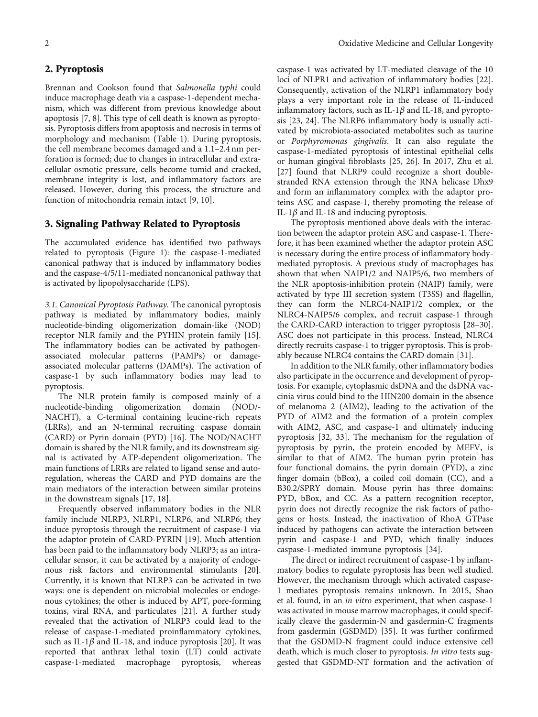#### 2. Pyroptosis

Brennan and Cookson found that Salmonella typhi could induce macrophage death via a caspase-1-dependent mechanism, which was different from previous knowledge about apoptosis [[7](#page-8-0), [8\]](#page-8-0). This type of cell death is known as pyroptosis. Pyroptosis differs from apoptosis and necrosis in terms of morphology and mechanism (Table [1](#page-2-0)). During pyroptosis, the cell membrane becomes damaged and a 1.1–2.4 nm perforation is formed; due to changes in intracellular and extracellular osmotic pressure, cells become tumid and cracked, membrane integrity is lost, and inflammatory factors are released. However, during this process, the structure and function of mitochondria remain intact [\[9, 10](#page-8-0)].

#### 3. Signaling Pathway Related to Pyroptosis

The accumulated evidence has identified two pathways related to pyroptosis (Figure [1](#page-3-0)): the caspase-1-mediated canonical pathway that is induced by inflammatory bodies and the caspase-4/5/11-mediated noncanonical pathway that is activated by lipopolysaccharide (LPS).

3.1. Canonical Pyroptosis Pathway. The canonical pyroptosis pathway is mediated by inflammatory bodies, mainly nucleotide-binding oligomerization domain-like (NOD) receptor NLR family and the PYHIN protein family [[15](#page-8-0)]. The inflammatory bodies can be activated by pathogenassociated molecular patterns (PAMPs) or damageassociated molecular patterns (DAMPs). The activation of caspase-1 by such inflammatory bodies may lead to pyroptosis.

The NLR protein family is composed mainly of a nucleotide-binding oligomerization domain (NOD/- NACHT), a C-terminal containing leucine-rich repeats (LRRs), and an N-terminal recruiting caspase domain (CARD) or Pyrin domain (PYD) [[16](#page-8-0)]. The NOD/NACHT domain is shared by the NLR family, and its downstream signal is activated by ATP-dependent oligomerization. The main functions of LRRs are related to ligand sense and autoregulation, whereas the CARD and PYD domains are the main mediators of the interaction between similar proteins in the downstream signals [[17, 18](#page-8-0)].

Frequently observed inflammatory bodies in the NLR family include NLRP3, NLRP1, NLRP6, and NLRP6; they induce pyroptosis through the recruitment of caspase-1 via the adaptor protein of CARD-PYRIN [[19](#page-8-0)]. Much attention has been paid to the inflammatory body NLRP3; as an intracellular sensor, it can be activated by a majority of endogenous risk factors and environmental stimulants [[20](#page-8-0)]. Currently, it is known that NLRP3 can be activated in two ways: one is dependent on microbial molecules or endogenous cytokines; the other is induced by APT, pore-forming toxins, viral RNA, and particulates [\[21\]](#page-8-0). A further study revealed that the activation of NLRP3 could lead to the release of caspase-1-mediated proinflammatory cytokines, such as IL-1 $\beta$  and IL-18, and induce pyroptosis [[20](#page-8-0)]. It was reported that anthrax lethal toxin (LT) could activate caspase-1-mediated macrophage pyroptosis, whereas caspase-1 was activated by LT-mediated cleavage of the 10 loci of NLPR1 and activation of inflammatory bodies [[22](#page-8-0)]. Consequently, activation of the NLRP1 inflammatory body plays a very important role in the release of IL-induced inflammatory factors, such as IL-1*β* and IL-18, and pyroptosis [[23](#page-8-0), [24](#page-8-0)]. The NLRP6 inflammatory body is usually activated by microbiota-associated metabolites such as taurine or Porphyromonas gingivalis. It can also regulate the caspase-1-mediated pyroptosis of intestinal epithelial cells or human gingival fibroblasts [\[25, 26](#page-8-0)]. In 2017, Zhu et al. [\[27\]](#page-8-0) found that NLRP9 could recognize a short doublestranded RNA extension through the RNA helicase Dhx9 and form an inflammatory complex with the adaptor proteins ASC and caspase-1, thereby promoting the release of IL-1 $\beta$  and IL-18 and inducing pyroptosis.

The pyroptosis mentioned above deals with the interaction between the adaptor protein ASC and caspase-1. Therefore, it has been examined whether the adaptor protein ASC is necessary during the entire process of inflammatory bodymediated pyroptosis. A previous study of macrophages has shown that when NAIP1/2 and NAIP5/6, two members of the NLR apoptosis-inhibition protein (NAIP) family, were activated by type III secretion system (T3SS) and flagellin, they can form the NLRC4-NAIP1/2 complex, or the NLRC4-NAIP5/6 complex, and recruit caspase-1 through the CARD-CARD interaction to trigger pyroptosis [\[28](#page-8-0)–[30](#page-8-0)]. ASC does not participate in this process. Instead, NLRC4 directly recruits caspase-1 to trigger pyroptosis. This is probably because NLRC4 contains the CARD domain [[31](#page-8-0)].

In addition to the NLR family, other inflammatory bodies also participate in the occurrence and development of pyroptosis. For example, cytoplasmic dsDNA and the dsDNA vaccinia virus could bind to the HIN200 domain in the absence of melanoma 2 (AIM2), leading to the activation of the PYD of AIM2 and the formation of a protein complex with AIM2, ASC, and caspase-1 and ultimately inducing pyroptosis [\[32, 33](#page-8-0)]. The mechanism for the regulation of pyroptosis by pyrin, the protein encoded by MEFV, is similar to that of AIM2. The human pyrin protein has four functional domains, the pyrin domain (PYD), a zinc finger domain (bBox), a coiled coil domain (CC), and a B30.2/SPRY domain. Mouse pyrin has three domains: PYD, bBox, and CC. As a pattern recognition receptor, pyrin does not directly recognize the risk factors of pathogens or hosts. Instead, the inactivation of RhoA GTPase induced by pathogens can activate the interaction between pyrin and caspase-1 and PYD, which finally induces caspase-1-mediated immune pyroptosis [\[34\]](#page-8-0).

The direct or indirect recruitment of caspase-1 by inflammatory bodies to regulate pyroptosis has been well studied. However, the mechanism through which activated caspase-1 mediates pyroptosis remains unknown. In 2015, Shao et al. found, in an in vitro experiment, that when caspase-1 was activated in mouse marrow macrophages, it could specifically cleave the gasdermin-N and gasdermin-C fragments from gasdermin (GSDMD) [\[35\]](#page-8-0). It was further confirmed that the GSDMD-N fragment could induce extensive cell death, which is much closer to pyroptosis. In vitro tests suggested that GSDMD-NT formation and the activation of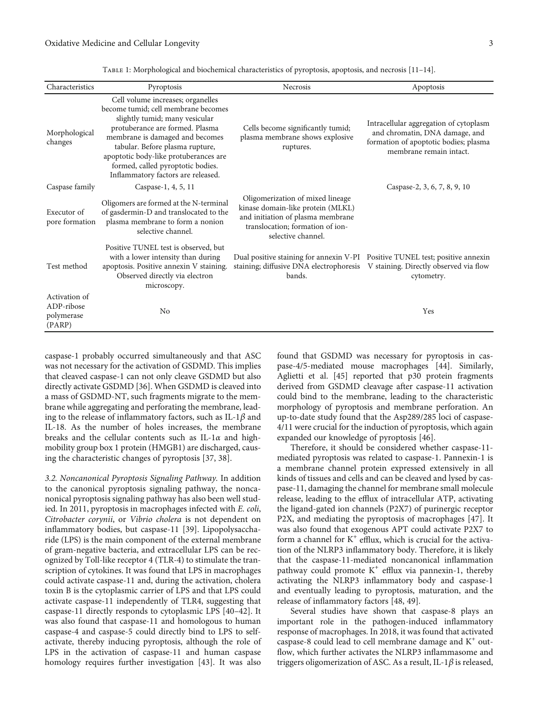<span id="page-2-0"></span>

| Characteristics                                     | Pyroptosis                                                                                                                                                                                                                                                                                                                              | <b>Necrosis</b>                                                                                                                                                           | Apoptosis                                                                                                                                    |
|-----------------------------------------------------|-----------------------------------------------------------------------------------------------------------------------------------------------------------------------------------------------------------------------------------------------------------------------------------------------------------------------------------------|---------------------------------------------------------------------------------------------------------------------------------------------------------------------------|----------------------------------------------------------------------------------------------------------------------------------------------|
| Morphological<br>changes                            | Cell volume increases; organelles<br>become tumid; cell membrane becomes<br>slightly tumid; many vesicular<br>protuberance are formed. Plasma<br>membrane is damaged and becomes<br>tabular. Before plasma rupture,<br>apoptotic body-like protuberances are<br>formed, called pyroptotic bodies.<br>Inflammatory factors are released. | Cells become significantly tumid;<br>plasma membrane shows explosive<br>ruptures.                                                                                         | Intracellular aggregation of cytoplasm<br>and chromatin, DNA damage, and<br>formation of apoptotic bodies; plasma<br>membrane remain intact. |
| Caspase family                                      | Caspase-1, 4, 5, 11                                                                                                                                                                                                                                                                                                                     |                                                                                                                                                                           | Caspase-2, 3, 6, 7, 8, 9, 10                                                                                                                 |
| Executor of<br>pore formation                       | Oligomers are formed at the N-terminal<br>of gasdermin-D and translocated to the<br>plasma membrane to form a nonion<br>selective channel.                                                                                                                                                                                              | Oligomerization of mixed lineage<br>kinase domain-like protein (MLKL)<br>and initiation of plasma membrane<br>translocation; formation of ion-<br>selective channel.      |                                                                                                                                              |
| Test method                                         | Positive TUNEL test is observed, but<br>with a lower intensity than during<br>apoptosis. Positive annexin V staining.<br>Observed directly via electron<br>microscopy.                                                                                                                                                                  | Dual positive staining for annexin V-PI Positive TUNEL test; positive annexin<br>staining; diffusive DNA electrophoresis V staining. Directly observed via flow<br>bands. | cytometry.                                                                                                                                   |
| Activation of<br>ADP-ribose<br>polymerase<br>(PARP) | N <sub>0</sub>                                                                                                                                                                                                                                                                                                                          |                                                                                                                                                                           | Yes                                                                                                                                          |

Table 1: Morphological and biochemical characteristics of pyroptosis, apoptosis, and necrosis [[11](#page-8-0)–[14\]](#page-8-0).

caspase-1 probably occurred simultaneously and that ASC was not necessary for the activation of GSDMD. This implies that cleaved caspase-1 can not only cleave GSDMD but also directly activate GSDMD [[36](#page-8-0)]. When GSDMD is cleaved into a mass of GSDMD-NT, such fragments migrate to the membrane while aggregating and perforating the membrane, leading to the release of inflammatory factors, such as IL-1*β* and IL-18. As the number of holes increases, the membrane breaks and the cellular contents such as IL-1*α* and highmobility group box 1 protein (HMGB1) are discharged, causing the characteristic changes of pyroptosis [[37, 38](#page-8-0)].

3.2. Noncanonical Pyroptosis Signaling Pathway. In addition to the canonical pyroptosis signaling pathway, the noncanonical pyroptosis signaling pathway has also been well studied. In 2011, pyroptosis in macrophages infected with E. coli, Citrobacter corynii, or Vibrio cholera is not dependent on inflammatory bodies, but caspase-11 [[39\]](#page-9-0). Lipopolysaccharide (LPS) is the main component of the external membrane of gram-negative bacteria, and extracellular LPS can be recognized by Toll-like receptor 4 (TLR-4) to stimulate the transcription of cytokines. It was found that LPS in macrophages could activate caspase-11 and, during the activation, cholera toxin B is the cytoplasmic carrier of LPS and that LPS could activate caspase-11 independently of TLR4, suggesting that caspase-11 directly responds to cytoplasmic LPS [[40](#page-9-0)–[42\]](#page-9-0). It was also found that caspase-11 and homologous to human caspase-4 and caspase-5 could directly bind to LPS to selfactivate, thereby inducing pyroptosis, although the role of LPS in the activation of caspase-11 and human caspase homology requires further investigation [\[43\]](#page-9-0). It was also

found that GSDMD was necessary for pyroptosis in caspase-4/5-mediated mouse macrophages [\[44\]](#page-9-0). Similarly, Aglietti et al. [\[45\]](#page-9-0) reported that p30 protein fragments derived from GSDMD cleavage after caspase-11 activation could bind to the membrane, leading to the characteristic morphology of pyroptosis and membrane perforation. An up-to-date study found that the Asp289/285 loci of caspase-4/11 were crucial for the induction of pyroptosis, which again expanded our knowledge of pyroptosis [[46](#page-9-0)].

Therefore, it should be considered whether caspase-11 mediated pyroptosis was related to caspase-1. Pannexin-1 is a membrane channel protein expressed extensively in all kinds of tissues and cells and can be cleaved and lysed by caspase-11, damaging the channel for membrane small molecule release, leading to the efflux of intracellular ATP, activating the ligand-gated ion channels (P2X7) of purinergic receptor P2X, and mediating the pyroptosis of macrophages [\[47\]](#page-9-0). It was also found that exogenous APT could activate P2X7 to form a channel for  $K^+$  efflux, which is crucial for the activation of the NLRP3 inflammatory body. Therefore, it is likely that the caspase-11-mediated noncanonical inflammation pathway could promote  $K^+$  efflux via pannexin-1, thereby activating the NLRP3 inflammatory body and caspase-1 and eventually leading to pyroptosis, maturation, and the release of inflammatory factors [\[48, 49](#page-9-0)].

Several studies have shown that caspase-8 plays an important role in the pathogen-induced inflammatory response of macrophages. In 2018, it was found that activated caspase-8 could lead to cell membrane damage and  $K^+$  outflow, which further activates the NLRP3 inflammasome and triggers oligomerization of ASC. As a result, IL-1*β* is released,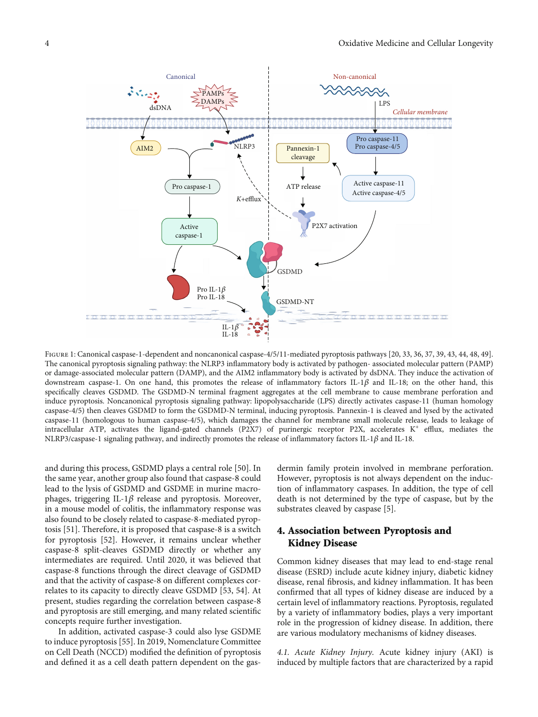<span id="page-3-0"></span>

FIGURE 1: Canonical caspase-1-dependent and noncanonical caspase-4/5/11-mediated pyroptosis pathways [\[20, 33](#page-8-0), [36, 37](#page-8-0), [39, 43](#page-9-0), [44, 48](#page-9-0), [49\]](#page-9-0). The canonical pyroptosis signaling pathway: the NLRP3 inflammatory body is activated by pathogen- associated molecular pattern (PAMP) or damage-associated molecular pattern (DAMP), and the AIM2 inflammatory body is activated by dsDNA. They induce the activation of downstream caspase-1. On one hand, this promotes the release of inflammatory factors IL-1*β* and IL-18; on the other hand, this specifically cleaves GSDMD. The GSDMD-N terminal fragment aggregates at the cell membrane to cause membrane perforation and induce pyroptosis. Noncanonical pyroptosis signaling pathway: lipopolysaccharide (LPS) directly activates caspase-11 (human homology caspase-4/5) then cleaves GSDMD to form the GSDMD-N terminal, inducing pyroptosis. Pannexin-1 is cleaved and lysed by the activated caspase-11 (homologous to human caspase-4/5), which damages the channel for membrane small molecule release, leads to leakage of intracellular ATP, activates the ligand-gated channels (P2X7) of purinergic receptor P2X, accelerates  $K^+$  efflux, mediates the NLRP3/caspase-1 signaling pathway, and indirectly promotes the release of inflammatory factors IL-1*β* and IL-18.

and during this process, GSDMD plays a central role [[50](#page-9-0)]. In the same year, another group also found that caspase-8 could lead to the lysis of GSDMD and GSDME in murine macrophages, triggering IL-1*β* release and pyroptosis. Moreover, in a mouse model of colitis, the inflammatory response was also found to be closely related to caspase-8-mediated pyroptosis [[51](#page-9-0)]. Therefore, it is proposed that caspase-8 is a switch for pyroptosis [[52](#page-9-0)]. However, it remains unclear whether caspase-8 split-cleaves GSDMD directly or whether any intermediates are required. Until 2020, it was believed that caspase-8 functions through the direct cleavage of GSDMD and that the activity of caspase-8 on different complexes correlates to its capacity to directly cleave GSDMD [\[53](#page-9-0), [54\]](#page-9-0). At present, studies regarding the correlation between caspase-8 and pyroptosis are still emerging, and many related scientific concepts require further investigation.

In addition, activated caspase-3 could also lyse GSDME to induce pyroptosis [[55](#page-9-0)]. In 2019, Nomenclature Committee on Cell Death (NCCD) modified the definition of pyroptosis and defined it as a cell death pattern dependent on the gasdermin family protein involved in membrane perforation. However, pyroptosis is not always dependent on the induction of inflammatory caspases. In addition, the type of cell death is not determined by the type of caspase, but by the substrates cleaved by caspase [\[5\]](#page-8-0).

## 4. Association between Pyroptosis and Kidney Disease

Common kidney diseases that may lead to end-stage renal disease (ESRD) include acute kidney injury, diabetic kidney disease, renal fibrosis, and kidney inflammation. It has been confirmed that all types of kidney disease are induced by a certain level of inflammatory reactions. Pyroptosis, regulated by a variety of inflammatory bodies, plays a very important role in the progression of kidney disease. In addition, there are various modulatory mechanisms of kidney diseases.

4.1. Acute Kidney Injury. Acute kidney injury (AKI) is induced by multiple factors that are characterized by a rapid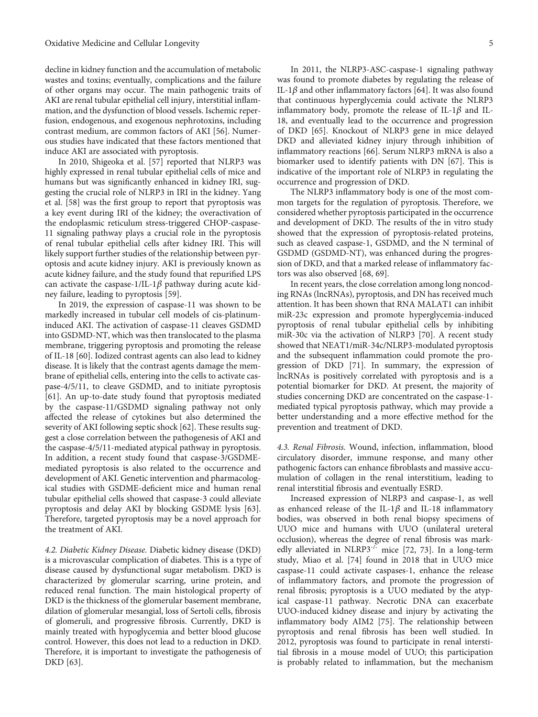decline in kidney function and the accumulation of metabolic wastes and toxins; eventually, complications and the failure of other organs may occur. The main pathogenic traits of AKI are renal tubular epithelial cell injury, interstitial inflammation, and the dysfunction of blood vessels. Ischemic reperfusion, endogenous, and exogenous nephrotoxins, including contrast medium, are common factors of AKI [[56](#page-9-0)]. Numerous studies have indicated that these factors mentioned that induce AKI are associated with pyroptosis.

In 2010, Shigeoka et al. [\[57\]](#page-9-0) reported that NLRP3 was highly expressed in renal tubular epithelial cells of mice and humans but was significantly enhanced in kidney IRI, suggesting the crucial role of NLRP3 in IRI in the kidney. Yang et al. [\[58\]](#page-9-0) was the first group to report that pyroptosis was a key event during IRI of the kidney; the overactivation of the endoplasmic reticulum stress-triggered CHOP-caspase-11 signaling pathway plays a crucial role in the pyroptosis of renal tubular epithelial cells after kidney IRI. This will likely support further studies of the relationship between pyroptosis and acute kidney injury. AKI is previously known as acute kidney failure, and the study found that repurified LPS can activate the caspase-1/IL-1*β* pathway during acute kidney failure, leading to pyroptosis [\[59\]](#page-9-0).

In 2019, the expression of caspase-11 was shown to be markedly increased in tubular cell models of cis-platinuminduced AKI. The activation of caspase-11 cleaves GSDMD into GSDMD-NT, which was then translocated to the plasma membrane, triggering pyroptosis and promoting the release of IL-18 [\[60\]](#page-9-0). Iodized contrast agents can also lead to kidney disease. It is likely that the contrast agents damage the membrane of epithelial cells, entering into the cells to activate caspase-4/5/11, to cleave GSDMD, and to initiate pyroptosis [\[61](#page-9-0)]. An up-to-date study found that pyroptosis mediated by the caspase-11/GSDMD signaling pathway not only affected the release of cytokines but also determined the severity of AKI following septic shock [[62](#page-9-0)]. These results suggest a close correlation between the pathogenesis of AKI and the caspase-4/5/11-mediated atypical pathway in pyroptosis. In addition, a recent study found that caspase-3/GSDMEmediated pyroptosis is also related to the occurrence and development of AKI. Genetic intervention and pharmacological studies with GSDME-deficient mice and human renal tubular epithelial cells showed that caspase-3 could alleviate pyroptosis and delay AKI by blocking GSDME lysis [[63](#page-9-0)]. Therefore, targeted pyroptosis may be a novel approach for the treatment of AKI.

4.2. Diabetic Kidney Disease. Diabetic kidney disease (DKD) is a microvascular complication of diabetes. This is a type of disease caused by dysfunctional sugar metabolism. DKD is characterized by glomerular scarring, urine protein, and reduced renal function. The main histological property of DKD is the thickness of the glomerular basement membrane, dilation of glomerular mesangial, loss of Sertoli cells, fibrosis of glomeruli, and progressive fibrosis. Currently, DKD is mainly treated with hypoglycemia and better blood glucose control. However, this does not lead to a reduction in DKD. Therefore, it is important to investigate the pathogenesis of DKD [\[63\]](#page-9-0).

In 2011, the NLRP3-ASC-caspase-1 signaling pathway was found to promote diabetes by regulating the release of IL-1*β* and other inflammatory factors [[64](#page-9-0)]. It was also found that continuous hyperglycemia could activate the NLRP3 inflammatory body, promote the release of IL-1*β* and IL-18, and eventually lead to the occurrence and progression of DKD [[65](#page-9-0)]. Knockout of NLRP3 gene in mice delayed DKD and alleviated kidney injury through inhibition of inflammatory reactions [[66](#page-9-0)]. Serum NLRP3 mRNA is also a biomarker used to identify patients with DN [[67](#page-9-0)]. This is indicative of the important role of NLRP3 in regulating the occurrence and progression of DKD.

The NLRP3 inflammatory body is one of the most common targets for the regulation of pyroptosis. Therefore, we considered whether pyroptosis participated in the occurrence and development of DKD. The results of the in vitro study showed that the expression of pyroptosis-related proteins, such as cleaved caspase-1, GSDMD, and the N terminal of GSDMD (GSDMD-NT), was enhanced during the progression of DKD, and that a marked release of inflammatory factors was also observed [\[68, 69](#page-9-0)].

In recent years, the close correlation among long noncoding RNAs (lncRNAs), pyroptosis, and DN has received much attention. It has been shown that RNA MALAT1 can inhibit miR-23c expression and promote hyperglycemia-induced pyroptosis of renal tubular epithelial cells by inhibiting miR-30c via the activation of NLRP3 [\[70\]](#page-9-0). A recent study showed that NEAT1/miR-34c/NLRP3-modulated pyroptosis and the subsequent inflammation could promote the progression of DKD [[71](#page-10-0)]. In summary, the expression of lncRNAs is positively correlated with pyroptosis and is a potential biomarker for DKD. At present, the majority of studies concerning DKD are concentrated on the caspase-1 mediated typical pyroptosis pathway, which may provide a better understanding and a more effective method for the prevention and treatment of DKD.

4.3. Renal Fibrosis. Wound, infection, inflammation, blood circulatory disorder, immune response, and many other pathogenic factors can enhance fibroblasts and massive accumulation of collagen in the renal interstitium, leading to renal interstitial fibrosis and eventually ESRD.

Increased expression of NLRP3 and caspase-1, as well as enhanced release of the IL-1*β* and IL-18 inflammatory bodies, was observed in both renal biopsy specimens of UUO mice and humans with UUO (unilateral ureteral occlusion), whereas the degree of renal fibrosis was markedly alleviated in NLRP3 $^{-/-}$  mice [\[72, 73](#page-10-0)]. In a long-term study, Miao et al. [[74](#page-10-0)] found in 2018 that in UUO mice caspase-11 could activate caspases-1, enhance the release of inflammatory factors, and promote the progression of renal fibrosis; pyroptosis is a UUO mediated by the atypical caspase-11 pathway. Necrotic DNA can exacerbate UUO-induced kidney disease and injury by activating the inflammatory body AIM2 [[75](#page-10-0)]. The relationship between pyroptosis and renal fibrosis has been well studied. In 2012, pyroptosis was found to participate in renal interstitial fibrosis in a mouse model of UUO; this participation is probably related to inflammation, but the mechanism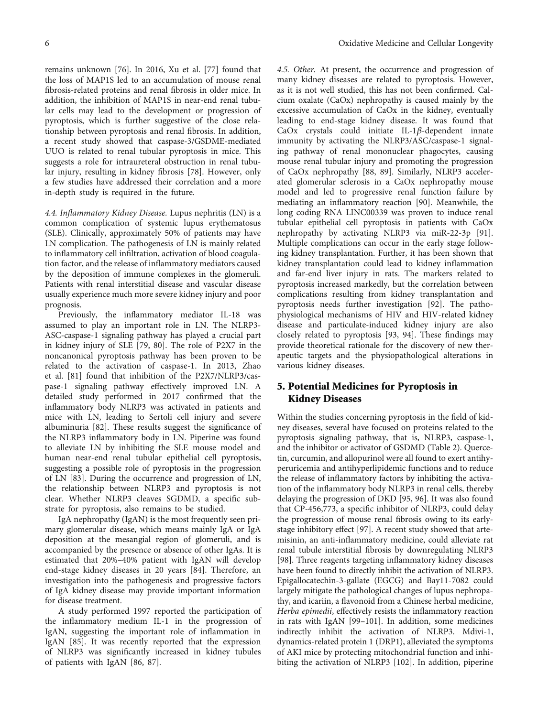remains unknown [\[76\]](#page-10-0). In 2016, Xu et al. [[77](#page-10-0)] found that the loss of MAP1S led to an accumulation of mouse renal fibrosis-related proteins and renal fibrosis in older mice. In addition, the inhibition of MAP1S in near-end renal tubular cells may lead to the development or progression of pyroptosis, which is further suggestive of the close relationship between pyroptosis and renal fibrosis. In addition, a recent study showed that caspase-3/GSDME-mediated UUO is related to renal tubular pyroptosis in mice. This suggests a role for intraureteral obstruction in renal tubular injury, resulting in kidney fibrosis [\[78\]](#page-10-0). However, only a few studies have addressed their correlation and a more in-depth study is required in the future.

4.4. Inflammatory Kidney Disease. Lupus nephritis (LN) is a common complication of systemic lupus erythematosus (SLE). Clinically, approximately 50% of patients may have LN complication. The pathogenesis of LN is mainly related to inflammatory cell infiltration, activation of blood coagulation factor, and the release of inflammatory mediators caused by the deposition of immune complexes in the glomeruli. Patients with renal interstitial disease and vascular disease usually experience much more severe kidney injury and poor prognosis.

Previously, the inflammatory mediator IL-18 was assumed to play an important role in LN. The NLRP3- ASC-caspase-1 signaling pathway has played a crucial part in kidney injury of SLE [[79](#page-10-0), [80\]](#page-10-0). The role of P2X7 in the noncanonical pyroptosis pathway has been proven to be related to the activation of caspase-1. In 2013, Zhao et al. [[81](#page-10-0)] found that inhibition of the P2X7/NLRP3/caspase-1 signaling pathway effectively improved LN. A detailed study performed in 2017 confirmed that the inflammatory body NLRP3 was activated in patients and mice with LN, leading to Sertoli cell injury and severe albuminuria [[82](#page-10-0)]. These results suggest the significance of the NLRP3 inflammatory body in LN. Piperine was found to alleviate LN by inhibiting the SLE mouse model and human near-end renal tubular epithelial cell pyroptosis, suggesting a possible role of pyroptosis in the progression of LN [\[83\]](#page-10-0). During the occurrence and progression of LN, the relationship between NLRP3 and pyroptosis is not clear. Whether NLRP3 cleaves SGDMD, a specific substrate for pyroptosis, also remains to be studied.

IgA nephropathy (IgAN) is the most frequently seen primary glomerular disease, which means mainly IgA or IgA deposition at the mesangial region of glomeruli, and is accompanied by the presence or absence of other IgAs. It is estimated that 20%–40% patient with IgAN will develop end-stage kidney diseases in 20 years [\[84](#page-10-0)]. Therefore, an investigation into the pathogenesis and progressive factors of IgA kidney disease may provide important information for disease treatment.

A study performed 1997 reported the participation of the inflammatory medium IL-1 in the progression of IgAN, suggesting the important role of inflammation in IgAN [[85\]](#page-10-0). It was recently reported that the expression of NLRP3 was significantly increased in kidney tubules of patients with IgAN [[86](#page-10-0), [87](#page-10-0)].

4.5. Other. At present, the occurrence and progression of many kidney diseases are related to pyroptosis. However, as it is not well studied, this has not been confirmed. Calcium oxalate (CaOx) nephropathy is caused mainly by the excessive accumulation of CaOx in the kidney, eventually leading to end-stage kidney disease. It was found that CaOx crystals could initiate IL-1*β*-dependent innate immunity by activating the NLRP3/ASC/caspase-1 signaling pathway of renal mononuclear phagocytes, causing mouse renal tubular injury and promoting the progression of CaOx nephropathy [[88](#page-10-0), [89](#page-10-0)]. Similarly, NLRP3 accelerated glomerular sclerosis in a CaOx nephropathy mouse model and led to progressive renal function failure by mediating an inflammatory reaction [\[90\]](#page-10-0). Meanwhile, the long coding RNA LINC00339 was proven to induce renal tubular epithelial cell pyroptosis in patients with CaOx nephropathy by activating NLRP3 via miR-22-3p [[91](#page-10-0)]. Multiple complications can occur in the early stage following kidney transplantation. Further, it has been shown that kidney transplantation could lead to kidney inflammation and far-end liver injury in rats. The markers related to pyroptosis increased markedly, but the correlation between complications resulting from kidney transplantation and pyroptosis needs further investigation [\[92\]](#page-10-0). The pathophysiological mechanisms of HIV and HIV-related kidney disease and particulate-induced kidney injury are also closely related to pyroptosis [[93, 94\]](#page-10-0). These findings may provide theoretical rationale for the discovery of new therapeutic targets and the physiopathological alterations in various kidney diseases.

# 5. Potential Medicines for Pyroptosis in Kidney Diseases

Within the studies concerning pyroptosis in the field of kidney diseases, several have focused on proteins related to the pyroptosis signaling pathway, that is, NLRP3, caspase-1, and the inhibitor or activator of GSDMD (Table [2](#page-6-0)). Quercetin, curcumin, and allopurinol were all found to exert antihyperuricemia and antihyperlipidemic functions and to reduce the release of inflammatory factors by inhibiting the activation of the inflammatory body NLRP3 in renal cells, thereby delaying the progression of DKD [\[95, 96\]](#page-10-0). It was also found that CP-456,773, a specific inhibitor of NLRP3, could delay the progression of mouse renal fibrosis owing to its earlystage inhibitory effect [\[97\]](#page-10-0). A recent study showed that artemisinin, an anti-inflammatory medicine, could alleviate rat renal tubule interstitial fibrosis by downregulating NLRP3 [\[98](#page-10-0)]. Three reagents targeting inflammatory kidney diseases have been found to directly inhibit the activation of NLRP3. Epigallocatechin-3-gallate (EGCG) and Bay11-7082 could largely mitigate the pathological changes of lupus nephropathy, and icariin, a flavonoid from a Chinese herbal medicine, Herba epimedii, effectively resists the inflammatory reaction in rats with IgAN [\[99](#page-10-0)–[101\]](#page-11-0). In addition, some medicines indirectly inhibit the activation of NLRP3. Mdivi-1, dynamics-related protein 1 (DRP1), alleviated the symptoms of AKI mice by protecting mitochondrial function and inhibiting the activation of NLRP3 [\[102](#page-11-0)]. In addition, piperine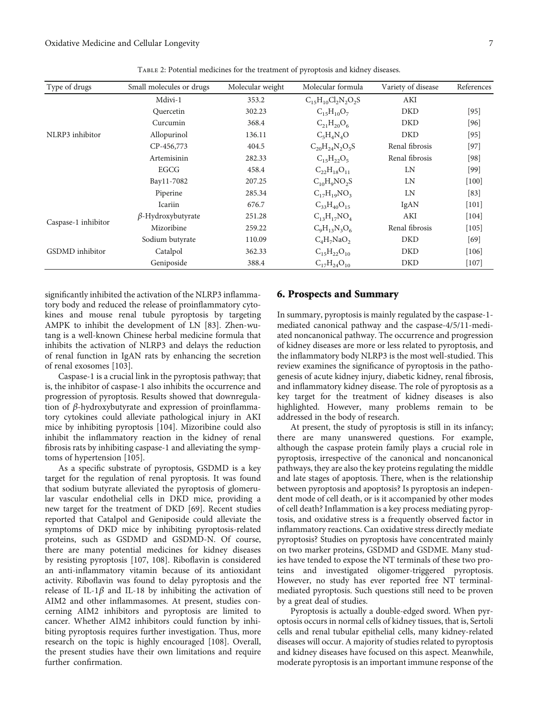<span id="page-6-0"></span>

| Type of drugs          | Small molecules or drugs | Molecular weight | Molecular formula         | Variety of disease | References          |
|------------------------|--------------------------|------------------|---------------------------|--------------------|---------------------|
|                        | Mdivi-1                  | 353.2            | $C_{15}H_{10}Cl_2N_2O_2S$ | AKI                |                     |
|                        | Quercetin                | 302.23           | $C_{15}H_{10}O_7$         | <b>DKD</b>         | $[95]$              |
| NLRP3 inhibitor        | Curcumin                 | 368.4            | $C_{21}H_{20}O_6$         | <b>DKD</b>         | $[96]$              |
|                        | Allopurinol              | 136.11           | $C_5H_4N_4O$              | <b>DKD</b>         | $[95]$              |
|                        | CP-456,773               | 404.5            | $C_{20}H_{24}N_{2}O_{5}S$ | Renal fibrosis     | $[97]$              |
|                        | Artemisinin              | 282.33           | $C_{15}H_{22}O_5$         | Renal fibrosis     | $[98]$              |
|                        | EGCG                     | 458.4            | $C_{22}H_{18}O_{11}$      | LN                 | $[99]$              |
|                        | Bay11-7082               | 207.25           | $C_{10}H_9NO_2S$          | LN                 | [100]               |
|                        | Piperine                 | 285.34           | $C_{17}H_{19}NO_3$        | LN                 | [83]                |
|                        | Icariin                  | 676.7            | $C_{33}H_{40}O_{15}$      | IgAN               | $[101]$             |
|                        | $\beta$ -Hydroxybutyrate | 251.28           | $C_{13}H_{17}NO_4$        | AKI                | $\lceil 104 \rceil$ |
| Caspase-1 inhibitor    | Mizoribine               | 259.22           | $C_9H_{13}N_3O_6$         | Renal fibrosis     | $[105]$             |
|                        | Sodium butyrate          | 110.09           | $C_4H_7NaO_2$             | <b>DKD</b>         | [69]                |
| <b>GSDMD</b> inhibitor | Catalpol                 | 362.33           | $C_{15}H_{22}O_{10}$      | <b>DKD</b>         | $[106]$             |
|                        | Geniposide               | 388.4            | $C_{17}H_{24}O_{10}$      | <b>DKD</b>         | $[107]$             |

Table 2: Potential medicines for the treatment of pyroptosis and kidney diseases.

significantly inhibited the activation of the NLRP3 inflammatory body and reduced the release of proinflammatory cytokines and mouse renal tubule pyroptosis by targeting AMPK to inhibit the development of LN [\[83](#page-10-0)]. Zhen-wutang is a well-known Chinese herbal medicine formula that inhibits the activation of NLRP3 and delays the reduction of renal function in IgAN rats by enhancing the secretion of renal exosomes [\[103](#page-11-0)].

Caspase-1 is a crucial link in the pyroptosis pathway; that is, the inhibitor of caspase-1 also inhibits the occurrence and progression of pyroptosis. Results showed that downregulation of *β*-hydroxybutyrate and expression of proinflammatory cytokines could alleviate pathological injury in AKI mice by inhibiting pyroptosis [[104](#page-11-0)]. Mizoribine could also inhibit the inflammatory reaction in the kidney of renal fibrosis rats by inhibiting caspase-1 and alleviating the symptoms of hypertension [[105\]](#page-11-0).

As a specific substrate of pyroptosis, GSDMD is a key target for the regulation of renal pyroptosis. It was found that sodium butyrate alleviated the pyroptosis of glomerular vascular endothelial cells in DKD mice, providing a new target for the treatment of DKD [\[69\]](#page-9-0). Recent studies reported that Catalpol and Geniposide could alleviate the symptoms of DKD mice by inhibiting pyroptosis-related proteins, such as GSDMD and GSDMD-N. Of course, there are many potential medicines for kidney diseases by resisting pyroptosis [\[107](#page-11-0), [108\]](#page-11-0). Riboflavin is considered an anti-inflammatory vitamin because of its antioxidant activity. Riboflavin was found to delay pyroptosis and the release of IL-1 $\beta$  and IL-18 by inhibiting the activation of AIM2 and other inflammasomes. At present, studies concerning AIM2 inhibitors and pyroptosis are limited to cancer. Whether AIM2 inhibitors could function by inhibiting pyroptosis requires further investigation. Thus, more research on the topic is highly encouraged [\[108\]](#page-11-0). Overall, the present studies have their own limitations and require further confirmation.

#### 6. Prospects and Summary

In summary, pyroptosis is mainly regulated by the caspase-1 mediated canonical pathway and the caspase-4/5/11-mediated noncanonical pathway. The occurrence and progression of kidney diseases are more or less related to pyroptosis, and the inflammatory body NLRP3 is the most well-studied. This review examines the significance of pyroptosis in the pathogenesis of acute kidney injury, diabetic kidney, renal fibrosis, and inflammatory kidney disease. The role of pyroptosis as a key target for the treatment of kidney diseases is also highlighted. However, many problems remain to be addressed in the body of research.

At present, the study of pyroptosis is still in its infancy; there are many unanswered questions. For example, although the caspase protein family plays a crucial role in pyroptosis, irrespective of the canonical and noncanonical pathways, they are also the key proteins regulating the middle and late stages of apoptosis. There, when is the relationship between pyroptosis and apoptosis? Is pyroptosis an independent mode of cell death, or is it accompanied by other modes of cell death? Inflammation is a key process mediating pyroptosis, and oxidative stress is a frequently observed factor in inflammatory reactions. Can oxidative stress directly mediate pyroptosis? Studies on pyroptosis have concentrated mainly on two marker proteins, GSDMD and GSDME. Many studies have tended to expose the NT terminals of these two proteins and investigated oligomer-triggered pyroptosis. However, no study has ever reported free NT terminalmediated pyroptosis. Such questions still need to be proven by a great deal of studies.

Pyroptosis is actually a double-edged sword. When pyroptosis occurs in normal cells of kidney tissues, that is, Sertoli cells and renal tubular epithelial cells, many kidney-related diseases will occur. A majority of studies related to pyroptosis and kidney diseases have focused on this aspect. Meanwhile, moderate pyroptosis is an important immune response of the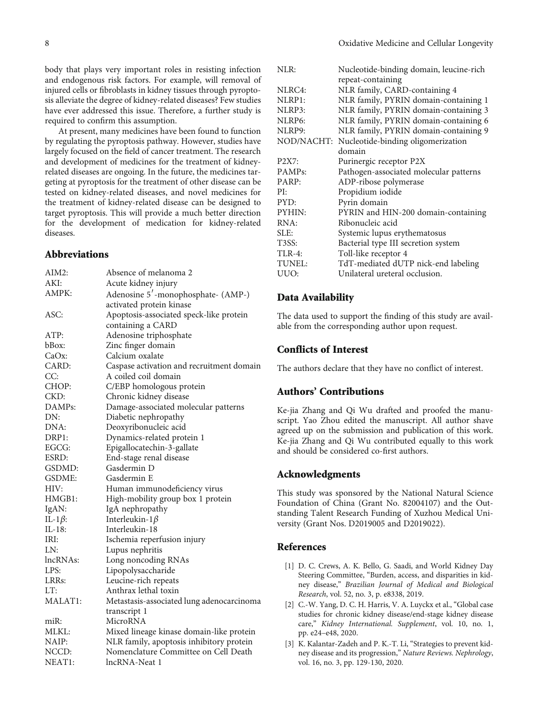<span id="page-7-0"></span>body that plays very important roles in resisting infection and endogenous risk factors. For example, will removal of injured cells or fibroblasts in kidney tissues through pyroptosis alleviate the degree of kidney-related diseases? Few studies have ever addressed this issue. Therefore, a further study is required to confirm this assumption.

At present, many medicines have been found to function by regulating the pyroptosis pathway. However, studies have largely focused on the field of cancer treatment. The research and development of medicines for the treatment of kidneyrelated diseases are ongoing. In the future, the medicines targeting at pyroptosis for the treatment of other disease can be tested on kidney-related diseases, and novel medicines for the treatment of kidney-related disease can be designed to target pyroptosis. This will provide a much better direction for the development of medication for kidney-related diseases.

# Abbreviations

| AIM2:          | Absence of melanoma 2                     |
|----------------|-------------------------------------------|
| AKI:           | Acute kidney injury                       |
| AMPK:          | Adenosine 5'-monophosphate- (AMP-)        |
|                | activated protein kinase                  |
| ASC:           | Apoptosis-associated speck-like protein   |
|                | containing a CARD                         |
| ATP:           | Adenosine triphosphate                    |
| bBox:          | Zinc finger domain                        |
| $CaOx$ :       | Calcium oxalate                           |
| CARD:          | Caspase activation and recruitment domain |
| CC:            | A coiled coil domain                      |
| CHOP:          | C/EBP homologous protein                  |
| CKD:           | Chronic kidney disease                    |
| DAMPs:         | Damage-associated molecular patterns      |
| DN:            | Diabetic nephropathy                      |
| DNA:           | Deoxyribonucleic acid                     |
| DRP1:          | Dynamics-related protein 1                |
| EGCG:          | Epigallocatechin-3-gallate                |
| ESRD:          | End-stage renal disease                   |
| GSDMD:         | Gasdermin D                               |
| GSDME:         | Gasdermin E                               |
| HIV:           | Human immunodeficiency virus              |
| HMGB1:         | High-mobility group box 1 protein         |
| IgAN:          | IgA nephropathy                           |
| IL-1 $\beta$ : | Interleukin- $1\beta$                     |
| $IL-18$ :      | Interleukin-18                            |
| IRI:           | Ischemia reperfusion injury               |
| LN:            | Lupus nephritis                           |
| lncRNAs:       | Long noncoding RNAs                       |
| LPS:           | Lipopolysaccharide                        |
| LRRs:          | Leucine-rich repeats                      |
| LT:            | Anthrax lethal toxin                      |
| MALAT1:        | Metastasis-associated lung adenocarcinoma |
|                | transcript 1                              |
| miR:           | MicroRNA                                  |
| MLKL:          | Mixed lineage kinase domain-like protein  |
| NAIP:          | NLR family, apoptosis inhibitory protein  |
| NCCD:          | Nomenclature Committee on Cell Death      |
| NEAT1:         | lncRNA-Neat 1                             |
|                |                                           |

| NLR:   | Nucleotide-binding domain, leucine-rich       |
|--------|-----------------------------------------------|
|        | repeat-containing                             |
| NLRC4: | NLR family, CARD-containing 4                 |
| NLRP1: | NLR family, PYRIN domain-containing 1         |
| NLRP3: | NLR family, PYRIN domain-containing 3         |
| NLRP6: | NLR family, PYRIN domain-containing 6         |
| NLRP9: | NLR family, PYRIN domain-containing 9         |
|        | NOD/NACHT: Nucleotide-binding oligomerization |
|        | domain                                        |
| P2X7:  | Purinergic receptor P2X                       |
| PAMPs: | Pathogen-associated molecular patterns        |
| PARP:  | ADP-ribose polymerase                         |
| PI:    | Propidium iodide                              |
| PYD:   | Pyrin domain                                  |
| PYHIN: | PYRIN and HIN-200 domain-containing           |
| RNA:   | Ribonucleic acid                              |
| SLE:   | Systemic lupus erythematosus                  |
| T3SS:  | Bacterial type III secretion system           |
| TLR-4: | Toll-like receptor 4                          |
| TUNEL: | TdT-mediated dUTP nick-end labeling           |
| UUO:   | Unilateral ureteral occlusion.                |

#### Data Availability

The data used to support the finding of this study are available from the corresponding author upon request.

# Conflicts of Interest

The authors declare that they have no conflict of interest.

## Authors' Contributions

Ke-jia Zhang and Qi Wu drafted and proofed the manuscript. Yao Zhou edited the manuscript. All author shave agreed up on the submission and publication of this work. Ke-jia Zhang and Qi Wu contributed equally to this work and should be considered co-first authors.

#### Acknowledgments

This study was sponsored by the National Natural Science Foundation of China (Grant No. 82004107) and the Outstanding Talent Research Funding of Xuzhou Medical University (Grant Nos. D2019005 and D2019022).

#### References

- [1] D. C. Crews, A. K. Bello, G. Saadi, and World Kidney Day Steering Committee, "Burden, access, and disparities in kidney disease," Brazilian Journal of Medical and Biological Research, vol. 52, no. 3, p. e8338, 2019.
- [2] C.-W. Yang, D. C. H. Harris, V. A. Luyckx et al., "Global case studies for chronic kidney disease/end-stage kidney disease care," Kidney International. Supplement, vol. 10, no. 1, pp. e24–e48, 2020.
- [3] K. Kalantar-Zadeh and P. K.-T. Li, "Strategies to prevent kidney disease and its progression," Nature Reviews. Nephrology, vol. 16, no. 3, pp. 129-130, 2020.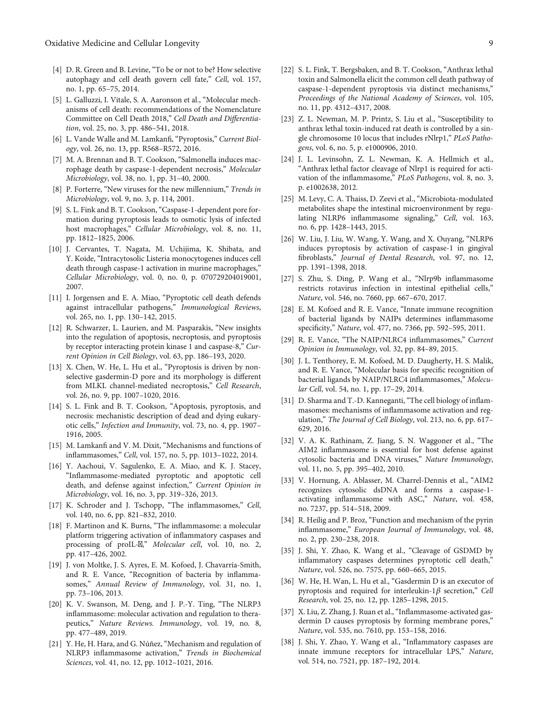- <span id="page-8-0"></span>[4] D. R. Green and B. Levine, "To be or not to be? How selective autophagy and cell death govern cell fate," Cell, vol. 157, no. 1, pp. 65–75, 2014.
- [5] L. Galluzzi, I. Vitale, S. A. Aaronson et al., "Molecular mechanisms of cell death: recommendations of the Nomenclature Committee on Cell Death 2018," Cell Death and Differentiation, vol. 25, no. 3, pp. 486–541, 2018.
- [6] L. Vande Walle and M. Lamkanfi, "Pyroptosis," Current Biology, vol. 26, no. 13, pp. R568–R572, 2016.
- [7] M. A. Brennan and B. T. Cookson, "Salmonella induces macrophage death by caspase-1-dependent necrosis," Molecular Microbiology, vol. 38, no. 1, pp. 31–40, 2000.
- [8] P. Forterre, "New viruses for the new millennium," Trends in Microbiology, vol. 9, no. 3, p. 114, 2001.
- [9] S. L. Fink and B. T. Cookson, "Caspase-1-dependent pore formation during pyroptosis leads to osmotic lysis of infected host macrophages," Cellular Microbiology, vol. 8, no. 11, pp. 1812–1825, 2006.
- [10] J. Cervantes, T. Nagata, M. Uchijima, K. Shibata, and Y. Koide, "Intracytosolic Listeria monocytogenes induces cell death through caspase-1 activation in murine macrophages," Cellular Microbiology, vol. 0, no. 0, p. 070729204019001, 2007.
- [11] I. Jorgensen and E. A. Miao, "Pyroptotic cell death defends against intracellular pathogens," Immunological Reviews, vol. 265, no. 1, pp. 130–142, 2015.
- [12] R. Schwarzer, L. Laurien, and M. Pasparakis, "New insights into the regulation of apoptosis, necroptosis, and pyroptosis by receptor interacting protein kinase 1 and caspase-8," Current Opinion in Cell Biology, vol. 63, pp. 186–193, 2020.
- [13] X. Chen, W. He, L. Hu et al., "Pyroptosis is driven by nonselective gasdermin-D pore and its morphology is different from MLKL channel-mediated necroptosis," Cell Research, vol. 26, no. 9, pp. 1007–1020, 2016.
- [14] S. L. Fink and B. T. Cookson, "Apoptosis, pyroptosis, and necrosis: mechanistic description of dead and dying eukaryotic cells," Infection and Immunity, vol. 73, no. 4, pp. 1907– 1916, 2005.
- [15] M. Lamkanfi and V. M. Dixit, "Mechanisms and functions of inflammasomes," Cell, vol. 157, no. 5, pp. 1013–1022, 2014.
- [16] Y. Aachoui, V. Sagulenko, E. A. Miao, and K. J. Stacey, "Inflammasome-mediated pyroptotic and apoptotic cell death, and defense against infection," Current Opinion in Microbiology, vol. 16, no. 3, pp. 319–326, 2013.
- [17] K. Schroder and J. Tschopp, "The inflammasomes," Cell, vol. 140, no. 6, pp. 821–832, 2010.
- [18] F. Martinon and K. Burns, "The inflammasome: a molecular platform triggering activation of inflammatory caspases and processing of proIL- $\mathbb{Z}$ ," Molecular cell, vol. 10, no. 2, pp. 417–426, 2002.
- [19] J. von Moltke, J. S. Ayres, E. M. Kofoed, J. Chavarría-Smith, and R. E. Vance, "Recognition of bacteria by inflammasomes," Annual Review of Immunology, vol. 31, no. 1, pp. 73–106, 2013.
- [20] K. V. Swanson, M. Deng, and J. P.-Y. Ting, "The NLRP3 inflammasome: molecular activation and regulation to therapeutics," Nature Reviews. Immunology, vol. 19, no. 8, pp. 477–489, 2019.
- [21] Y. He, H. Hara, and G. Núñez, "Mechanism and regulation of NLRP3 inflammasome activation," Trends in Biochemical Sciences, vol. 41, no. 12, pp. 1012–1021, 2016.
- [22] S. L. Fink, T. Bergsbaken, and B. T. Cookson, "Anthrax lethal toxin and Salmonella elicit the common cell death pathway of caspase-1-dependent pyroptosis via distinct mechanisms," Proceedings of the National Academy of Sciences, vol. 105,
- [23] Z. L. Newman, M. P. Printz, S. Liu et al., "Susceptibility to anthrax lethal toxin-induced rat death is controlled by a single chromosome 10 locus that includes rNlrp1," PLoS Pathogens, vol. 6, no. 5, p. e1000906, 2010.

no. 11, pp. 4312–4317, 2008.

- [24] J. L. Levinsohn, Z. L. Newman, K. A. Hellmich et al., "Anthrax lethal factor cleavage of Nlrp1 is required for activation of the inflammasome," PLoS Pathogens, vol. 8, no. 3, p. e1002638, 2012.
- [25] M. Levy, C. A. Thaiss, D. Zeevi et al., "Microbiota-modulated metabolites shape the intestinal microenvironment by regulating NLRP6 inflammasome signaling," Cell, vol. 163, no. 6, pp. 1428–1443, 2015.
- [26] W. Liu, J. Liu, W. Wang, Y. Wang, and X. Ouyang, "NLRP6 induces pyroptosis by activation of caspase-1 in gingival fibroblasts," Journal of Dental Research, vol. 97, no. 12, pp. 1391–1398, 2018.
- [27] S. Zhu, S. Ding, P. Wang et al., "Nlrp9b inflammasome restricts rotavirus infection in intestinal epithelial cells," Nature, vol. 546, no. 7660, pp. 667–670, 2017.
- [28] E. M. Kofoed and R. E. Vance, "Innate immune recognition of bacterial ligands by NAIPs determines inflammasome specificity," Nature, vol. 477, no. 7366, pp. 592–595, 2011.
- [29] R. E. Vance, "The NAIP/NLRC4 inflammasomes," Current Opinion in Immunology, vol. 32, pp. 84–89, 2015.
- [30] J. L. Tenthorey, E. M. Kofoed, M. D. Daugherty, H. S. Malik, and R. E. Vance, "Molecular basis for specific recognition of bacterial ligands by NAIP/NLRC4 inflammasomes," Molecular Cell, vol. 54, no. 1, pp. 17–29, 2014.
- [31] D. Sharma and T.-D. Kanneganti, "The cell biology of inflammasomes: mechanisms of inflammasome activation and regulation," The Journal of Cell Biology, vol. 213, no. 6, pp. 617– 629, 2016.
- [32] V. A. K. Rathinam, Z. Jiang, S. N. Waggoner et al., "The AIM2 inflammasome is essential for host defense against cytosolic bacteria and DNA viruses," Nature Immunology, vol. 11, no. 5, pp. 395–402, 2010.
- [33] V. Hornung, A. Ablasser, M. Charrel-Dennis et al., "AIM2 recognizes cytosolic dsDNA and forms a caspase-1 activating inflammasome with ASC," Nature, vol. 458, no. 7237, pp. 514–518, 2009.
- [34] R. Heilig and P. Broz, "Function and mechanism of the pyrin inflammasome," European Journal of Immunology, vol. 48, no. 2, pp. 230–238, 2018.
- [35] J. Shi, Y. Zhao, K. Wang et al., "Cleavage of GSDMD by inflammatory caspases determines pyroptotic cell death," Nature, vol. 526, no. 7575, pp. 660–665, 2015.
- [36] W. He, H. Wan, L. Hu et al., "Gasdermin D is an executor of pyroptosis and required for interleukin-1*β* secretion," Cell Research, vol. 25, no. 12, pp. 1285–1298, 2015.
- [37] X. Liu, Z. Zhang, J. Ruan et al., "Inflammasome-activated gasdermin D causes pyroptosis by forming membrane pores," Nature, vol. 535, no. 7610, pp. 153–158, 2016.
- [38] J. Shi, Y. Zhao, Y. Wang et al., "Inflammatory caspases are innate immune receptors for intracellular LPS," Nature, vol. 514, no. 7521, pp. 187–192, 2014.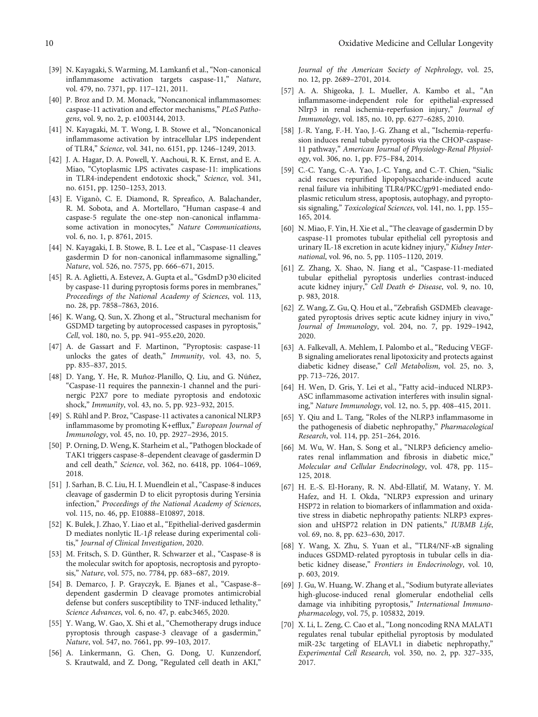- <span id="page-9-0"></span>[39] N. Kayagaki, S. Warming, M. Lamkanfi et al.,"Non-canonical inflammasome activation targets caspase-11," Nature, vol. 479, no. 7371, pp. 117–121, 2011.
- [40] P. Broz and D. M. Monack, "Noncanonical inflammasomes: caspase-11 activation and effector mechanisms," PLoS Pathogens, vol. 9, no. 2, p. e1003144, 2013.
- [41] N. Kayagaki, M. T. Wong, I. B. Stowe et al., "Noncanonical inflammasome activation by intracellular LPS independent of TLR4," Science, vol. 341, no. 6151, pp. 1246–1249, 2013.
- [42] J. A. Hagar, D. A. Powell, Y. Aachoui, R. K. Ernst, and E. A. Miao, "Cytoplasmic LPS activates caspase-11: implications in TLR4-independent endotoxic shock," Science, vol. 341, no. 6151, pp. 1250–1253, 2013.
- [43] E. Viganò, C. E. Diamond, R. Spreafico, A. Balachander, R. M. Sobota, and A. Mortellaro, "Human caspase-4 and caspase-5 regulate the one-step non-canonical inflammasome activation in monocytes," Nature Communications, vol. 6, no. 1, p. 8761, 2015.
- [44] N. Kayagaki, I. B. Stowe, B. L. Lee et al., "Caspase-11 cleaves gasdermin D for non-canonical inflammasome signalling," Nature, vol. 526, no. 7575, pp. 666–671, 2015.
- [45] R. A. Aglietti, A. Estevez, A. Gupta et al., "GsdmD p30 elicited by caspase-11 during pyroptosis forms pores in membranes," Proceedings of the National Academy of Sciences, vol. 113, no. 28, pp. 7858–7863, 2016.
- [46] K. Wang, Q. Sun, X. Zhong et al., "Structural mechanism for GSDMD targeting by autoprocessed caspases in pyroptosis," Cell, vol. 180, no. 5, pp. 941–955.e20, 2020.
- [47] A. de Gassart and F. Martinon, "Pyroptosis: caspase-11 unlocks the gates of death," Immunity, vol. 43, no. 5, pp. 835–837, 2015.
- [48] D. Yang, Y. He, R. Muñoz-Planillo, Q. Liu, and G. Núñez, "Caspase-11 requires the pannexin-1 channel and the purinergic P2X7 pore to mediate pyroptosis and endotoxic shock," Immunity, vol. 43, no. 5, pp. 923–932, 2015.
- [49] S. Rühl and P. Broz, "Caspase-11 activates a canonical NLRP3 inflammasome by promoting K+efflux," European Journal of Immunology, vol. 45, no. 10, pp. 2927–2936, 2015.
- [50] P. Orning, D. Weng, K. Starheim et al., "Pathogen blockade of TAK1 triggers caspase-8–dependent cleavage of gasdermin D and cell death," Science, vol. 362, no. 6418, pp. 1064–1069, 2018.
- [51] J. Sarhan, B. C. Liu, H. I. Muendlein et al., "Caspase-8 induces cleavage of gasdermin D to elicit pyroptosis during Yersinia infection," Proceedings of the National Academy of Sciences, vol. 115, no. 46, pp. E10888–E10897, 2018.
- [52] K. Bulek, J. Zhao, Y. Liao et al., "Epithelial-derived gasdermin D mediates nonlytic IL-1*β* release during experimental colitis," Journal of Clinical Investigation, 2020.
- [53] M. Fritsch, S. D. Günther, R. Schwarzer et al., "Caspase-8 is the molecular switch for apoptosis, necroptosis and pyroptosis," Nature, vol. 575, no. 7784, pp. 683–687, 2019.
- [54] B. Demarco, J. P. Grayczyk, E. Bjanes et al., "Caspase-8– dependent gasdermin D cleavage promotes antimicrobial defense but confers susceptibility to TNF-induced lethality," Science Advances, vol. 6, no. 47, p. eabc3465, 2020.
- [55] Y. Wang, W. Gao, X. Shi et al., "Chemotherapy drugs induce pyroptosis through caspase-3 cleavage of a gasdermin," Nature, vol. 547, no. 7661, pp. 99–103, 2017.
- [56] A. Linkermann, G. Chen, G. Dong, U. Kunzendorf, S. Krautwald, and Z. Dong, "Regulated cell death in AKI,"

Journal of the American Society of Nephrology, vol. 25, no. 12, pp. 2689–2701, 2014.

- [57] A. A. Shigeoka, J. L. Mueller, A. Kambo et al., "An inflammasome-independent role for epithelial-expressed Nlrp3 in renal ischemia-reperfusion injury," Journal of Immunology, vol. 185, no. 10, pp. 6277–6285, 2010.
- [58] J.-R. Yang, F.-H. Yao, J.-G. Zhang et al., "Ischemia-reperfusion induces renal tubule pyroptosis via the CHOP-caspase-11 pathway," American Journal of Physiology-Renal Physiology, vol. 306, no. 1, pp. F75–F84, 2014.
- [59] C.-C. Yang, C.-A. Yao, J.-C. Yang, and C.-T. Chien, "Sialic acid rescues repurified lipopolysaccharide-induced acute renal failure via inhibiting TLR4/PKC/gp91-mediated endoplasmic reticulum stress, apoptosis, autophagy, and pyroptosis signaling," Toxicological Sciences, vol. 141, no. 1, pp. 155– 165, 2014.
- [60] N. Miao, F. Yin, H. Xie et al., "The cleavage of gasdermin D by caspase-11 promotes tubular epithelial cell pyroptosis and urinary IL-18 excretion in acute kidney injury," Kidney International, vol. 96, no. 5, pp. 1105–1120, 2019.
- [61] Z. Zhang, X. Shao, N. Jiang et al., "Caspase-11-mediated tubular epithelial pyroptosis underlies contrast-induced acute kidney injury," Cell Death & Disease, vol. 9, no. 10, p. 983, 2018.
- [62] Z. Wang, Z. Gu, Q. Hou et al., "Zebrafish GSDMEb cleavagegated pyroptosis drives septic acute kidney injury in vivo," Journal of Immunology, vol. 204, no. 7, pp. 1929–1942, 2020.
- [63] A. Falkevall, A. Mehlem, I. Palombo et al., "Reducing VEGF-B signaling ameliorates renal lipotoxicity and protects against diabetic kidney disease," Cell Metabolism, vol. 25, no. 3, pp. 713–726, 2017.
- [64] H. Wen, D. Gris, Y. Lei et al., "Fatty acid–induced NLRP3- ASC inflammasome activation interferes with insulin signaling," Nature Immunology, vol. 12, no. 5, pp. 408–415, 2011.
- [65] Y. Qiu and L. Tang, "Roles of the NLRP3 inflammasome in the pathogenesis of diabetic nephropathy," Pharmacological Research, vol. 114, pp. 251–264, 2016.
- [66] M. Wu, W. Han, S. Song et al., "NLRP3 deficiency ameliorates renal inflammation and fibrosis in diabetic mice," Molecular and Cellular Endocrinology, vol. 478, pp. 115– 125, 2018.
- [67] H. E.-S. El-Horany, R. N. Abd-Ellatif, M. Watany, Y. M. Hafez, and H. I. Okda, "NLRP3 expression and urinary HSP72 in relation to biomarkers of inflammation and oxidative stress in diabetic nephropathy patients: NLRP3 expression and uHSP72 relation in DN patients," IUBMB Life, vol. 69, no. 8, pp. 623–630, 2017.
- [68] Y. Wang, X. Zhu, S. Yuan et al., "TLR4/NF-*κ*B signaling induces GSDMD-related pyroptosis in tubular cells in diabetic kidney disease," Frontiers in Endocrinology, vol. 10, p. 603, 2019.
- [69] J. Gu, W. Huang, W. Zhang et al., "Sodium butyrate alleviates high-glucose-induced renal glomerular endothelial cells damage via inhibiting pyroptosis," International Immunopharmacology, vol. 75, p. 105832, 2019.
- [70] X. Li, L. Zeng, C. Cao et al., "Long noncoding RNA MALAT1 regulates renal tubular epithelial pyroptosis by modulated miR-23c targeting of ELAVL1 in diabetic nephropathy," Experimental Cell Research, vol. 350, no. 2, pp. 327–335, 2017.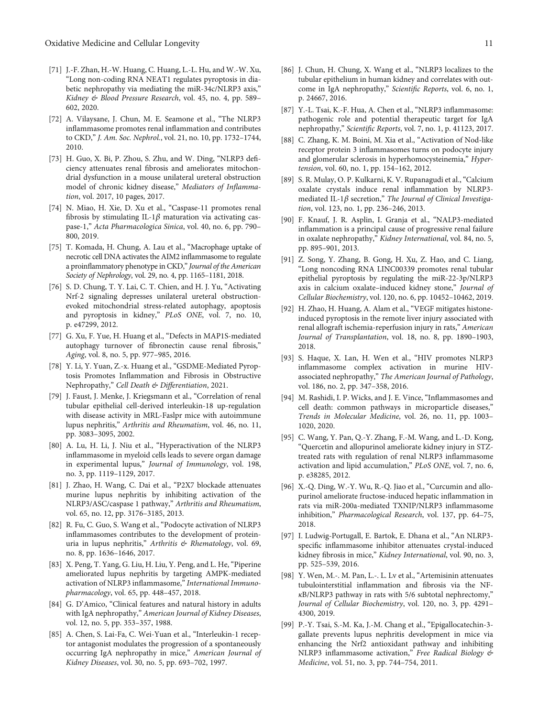- <span id="page-10-0"></span>[71] J.-F. Zhan, H.-W. Huang, C. Huang, L.-L. Hu, and W.-W. Xu, "Long non-coding RNA NEAT1 regulates pyroptosis in diabetic nephropathy via mediating the miR-34c/NLRP3 axis," Kidney & Blood Pressure Research, vol. 45, no. 4, pp. 589– 602, 2020.
- [72] A. Vilaysane, J. Chun, M. E. Seamone et al., "The NLRP3 inflammasome promotes renal inflammation and contributes to CKD," J. Am. Soc. Nephrol., vol. 21, no. 10, pp. 1732–1744, 2010.
- [73] H. Guo, X. Bi, P. Zhou, S. Zhu, and W. Ding, "NLRP3 deficiency attenuates renal fibrosis and ameliorates mitochondrial dysfunction in a mouse unilateral ureteral obstruction model of chronic kidney disease," Mediators of Inflammation, vol. 2017, 10 pages, 2017.
- [74] N. Miao, H. Xie, D. Xu et al., "Caspase-11 promotes renal fibrosis by stimulating IL-1*β* maturation via activating caspase-1," Acta Pharmacologica Sinica, vol. 40, no. 6, pp. 790– 800, 2019.
- [75] T. Komada, H. Chung, A. Lau et al., "Macrophage uptake of necrotic cell DNA activates the AIM2 inflammasome to regulate a proinflammatory phenotype in CKD," Journal of the American Society of Nephrology, vol. 29, no. 4, pp. 1165–1181, 2018.
- [76] S. D. Chung, T. Y. Lai, C. T. Chien, and H. J. Yu, "Activating Nrf-2 signaling depresses unilateral ureteral obstructionevoked mitochondrial stress-related autophagy, apoptosis and pyroptosis in kidney," PLoS ONE, vol. 7, no. 10, p. e47299, 2012.
- [77] G. Xu, F. Yue, H. Huang et al., "Defects in MAP1S-mediated autophagy turnover of fibronectin cause renal fibrosis," Aging, vol. 8, no. 5, pp. 977–985, 2016.
- [78] Y. Li, Y. Yuan, Z.-x. Huang et al., "GSDME-Mediated Pyroptosis Promotes Inflammation and Fibrosis in Obstructive Nephropathy," Cell Death & Differentiation, 2021.
- [79] J. Faust, J. Menke, J. Kriegsmann et al., "Correlation of renal tubular epithelial cell-derived interleukin-18 up-regulation with disease activity in MRL-Faslpr mice with autoimmune lupus nephritis," Arthritis and Rheumatism, vol. 46, no. 11, pp. 3083–3095, 2002.
- [80] A. Lu, H. Li, J. Niu et al., "Hyperactivation of the NLRP3 inflammasome in myeloid cells leads to severe organ damage in experimental lupus," Journal of Immunology, vol. 198, no. 3, pp. 1119–1129, 2017.
- [81] J. Zhao, H. Wang, C. Dai et al., "P2X7 blockade attenuates murine lupus nephritis by inhibiting activation of the NLRP3/ASC/caspase 1 pathway," Arthritis and Rheumatism, vol. 65, no. 12, pp. 3176–3185, 2013.
- [82] R. Fu, C. Guo, S. Wang et al., "Podocyte activation of NLRP3 inflammasomes contributes to the development of proteinuria in lupus nephritis," Arthritis & Rhematology, vol. 69, no. 8, pp. 1636–1646, 2017.
- [83] X. Peng, T. Yang, G. Liu, H. Liu, Y. Peng, and L. He, "Piperine ameliorated lupus nephritis by targeting AMPK-mediated activation of NLRP3 inflammasome," International Immunopharmacology, vol. 65, pp. 448–457, 2018.
- [84] G. D'Amico, "Clinical features and natural history in adults with IgA nephropathy," American Journal of Kidney Diseases, vol. 12, no. 5, pp. 353–357, 1988.
- [85] A. Chen, S. Lai-Fa, C. Wei-Yuan et al., "Interleukin-1 receptor antagonist modulates the progression of a spontaneously occurring IgA nephropathy in mice," American Journal of Kidney Diseases, vol. 30, no. 5, pp. 693–702, 1997.
- [86] J. Chun, H. Chung, X. Wang et al., "NLRP3 localizes to the tubular epithelium in human kidney and correlates with outcome in IgA nephropathy," Scientific Reports, vol. 6, no. 1, p. 24667, 2016.
- [87] Y.-L. Tsai, K.-F. Hua, A. Chen et al., "NLRP3 inflammasome: pathogenic role and potential therapeutic target for IgA nephropathy," Scientific Reports, vol. 7, no. 1, p. 41123, 2017.
- [88] C. Zhang, K. M. Boini, M. Xia et al., "Activation of Nod-like receptor protein 3 inflammasomes turns on podocyte injury and glomerular sclerosis in hyperhomocysteinemia," Hypertension, vol. 60, no. 1, pp. 154–162, 2012.
- [89] S. R. Mulay, O. P. Kulkarni, K. V. Rupanagudi et al., "Calcium oxalate crystals induce renal inflammation by NLRP3 mediated IL-1β secretion," The Journal of Clinical Investigation, vol. 123, no. 1, pp. 236–246, 2013.
- [90] F. Knauf, J. R. Asplin, I. Granja et al., "NALP3-mediated inflammation is a principal cause of progressive renal failure in oxalate nephropathy," Kidney International, vol. 84, no. 5, pp. 895–901, 2013.
- [91] Z. Song, Y. Zhang, B. Gong, H. Xu, Z. Hao, and C. Liang, "Long noncoding RNA LINC00339 promotes renal tubular epithelial pyroptosis by regulating the miR‐22‐3p/NLRP3 axis in calcium oxalate–induced kidney stone," Journal of Cellular Biochemistry, vol. 120, no. 6, pp. 10452–10462, 2019.
- [92] H. Zhao, H. Huang, A. Alam et al., "VEGF mitigates histoneinduced pyroptosis in the remote liver injury associated with renal allograft ischemia-reperfusion injury in rats," American Journal of Transplantation, vol. 18, no. 8, pp. 1890–1903, 2018.
- [93] S. Haque, X. Lan, H. Wen et al., "HIV promotes NLRP3 inflammasome complex activation in murine HIVassociated nephropathy," The American Journal of Pathology, vol. 186, no. 2, pp. 347–358, 2016.
- [94] M. Rashidi, I. P. Wicks, and J. E. Vince, "Inflammasomes and cell death: common pathways in microparticle diseases," Trends in Molecular Medicine, vol. 26, no. 11, pp. 1003– 1020, 2020.
- [95] C. Wang, Y. Pan, Q.-Y. Zhang, F.-M. Wang, and L.-D. Kong, "Quercetin and allopurinol ameliorate kidney injury in STZtreated rats with regulation of renal NLRP3 inflammasome activation and lipid accumulation," PLoS ONE, vol. 7, no. 6, p. e38285, 2012.
- [96] X.-Q. Ding, W.-Y. Wu, R.-Q. Jiao et al., "Curcumin and allopurinol ameliorate fructose-induced hepatic inflammation in rats via miR-200a-mediated TXNIP/NLRP3 inflammasome inhibition," Pharmacological Research, vol. 137, pp. 64–75, 2018.
- [97] I. Ludwig-Portugall, E. Bartok, E. Dhana et al., "An NLRP3 specific inflammasome inhibitor attenuates crystal-induced kidney fibrosis in mice," Kidney International, vol. 90, no. 3, pp. 525–539, 2016.
- [98] Y. Wen, M.‐. M. Pan, L.‐. L. Lv et al., "Artemisinin attenuates tubulointerstitial inflammation and fibrosis via the NF*κ*B/NLRP3 pathway in rats with 5/6 subtotal nephrectomy," Journal of Cellular Biochemistry, vol. 120, no. 3, pp. 4291– 4300, 2019.
- [99] P.-Y. Tsai, S.-M. Ka, J.-M. Chang et al., "Epigallocatechin-3 gallate prevents lupus nephritis development in mice via enhancing the Nrf2 antioxidant pathway and inhibiting NLRP3 inflammasome activation," Free Radical Biology & Medicine, vol. 51, no. 3, pp. 744–754, 2011.